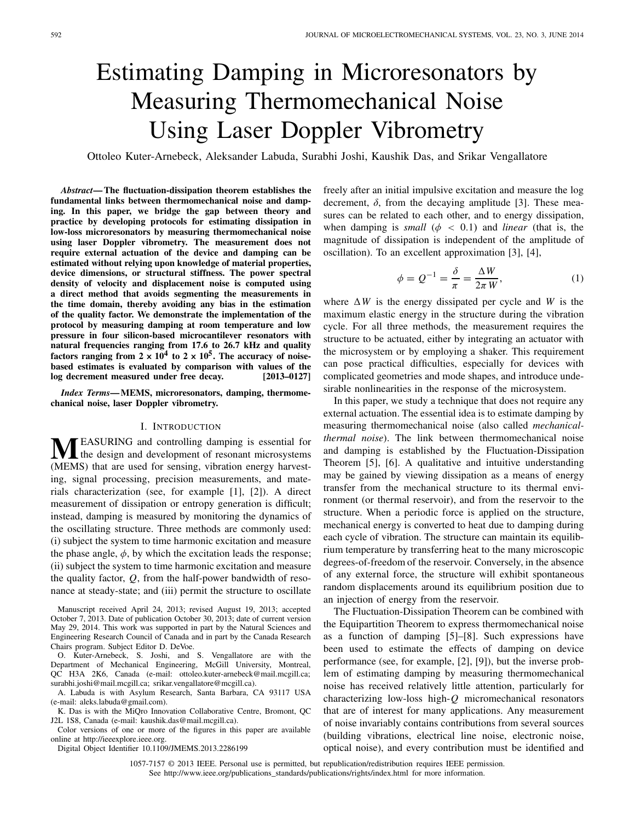# Estimating Damping in Microresonators by Measuring Thermomechanical Noise Using Laser Doppler Vibrometry

Ottoleo Kuter-Arnebeck, Aleksander Labuda, Surabhi Joshi, Kaushik Das, and Srikar Vengallatore

*Abstract***— The fluctuation-dissipation theorem establishes the fundamental links between thermomechanical noise and damping. In this paper, we bridge the gap between theory and practice by developing protocols for estimating dissipation in low-loss microresonators by measuring thermomechanical noise using laser Doppler vibrometry. The measurement does not require external actuation of the device and damping can be estimated without relying upon knowledge of material properties, device dimensions, or structural stiffness. The power spectral density of velocity and displacement noise is computed using a direct method that avoids segmenting the measurements in the time domain, thereby avoiding any bias in the estimation of the quality factor. We demonstrate the implementation of the protocol by measuring damping at room temperature and low pressure in four silicon-based microcantilever resonators with natural frequencies ranging from 17.6 to 26.7 kHz and quality** factors ranging from  $2 \times 10^4$  to  $2 \times 10^5$ . The accuracy of noise**based estimates is evaluated by comparison with values of the log decrement measured under free decay. [2013–0127]**

*Index Terms***— MEMS, microresonators, damping, thermomechanical noise, laser Doppler vibrometry.**

#### I. INTRODUCTION

**MEASURING** and controlling damping is essential for the design and development of resonant microsystems (MEMS) that are used for sensing, vibration energy harvesting, signal processing, precision measurements, and materials characterization (see, for example [1], [2]). A direct measurement of dissipation or entropy generation is difficult; instead, damping is measured by monitoring the dynamics of the oscillating structure. Three methods are commonly used: (i) subject the system to time harmonic excitation and measure the phase angle,  $\phi$ , by which the excitation leads the response; (ii) subject the system to time harmonic excitation and measure the quality factor, *Q*, from the half-power bandwidth of resonance at steady-state; and (iii) permit the structure to oscillate

Manuscript received April 24, 2013; revised August 19, 2013; accepted October 7, 2013. Date of publication October 30, 2013; date of current version May 29, 2014. This work was supported in part by the Natural Sciences and Engineering Research Council of Canada and in part by the Canada Research Chairs program. Subject Editor D. DeVoe.

O. Kuter-Arnebeck, S. Joshi, and S. Vengallatore are with the Department of Mechanical Engineering, McGill University, Montreal, QC H3A 2K6, Canada (e-mail: ottoleo.kuter-arnebeck@mail.mcgill.ca; surabhi.joshi@mail.mcgill.ca; srikar.vengallatore@mcgill.ca).

A. Labuda is with Asylum Research, Santa Barbara, CA 93117 USA (e-mail: aleks.labuda@gmail.com).

K. Das is with the MiQro Innovation Collaborative Centre, Bromont, QC J2L 1S8, Canada (e-mail: kaushik.das@mail.mcgill.ca).

Color versions of one or more of the figures in this paper are available online at http://ieeexplore.ieee.org.

Digital Object Identifier 10.1109/JMEMS.2013.2286199

freely after an initial impulsive excitation and measure the log decrement,  $\delta$ , from the decaying amplitude [3]. These measures can be related to each other, and to energy dissipation, when damping is *small* ( $\phi$  < 0.1) and *linear* (that is, the magnitude of dissipation is independent of the amplitude of oscillation). To an excellent approximation [3], [4],

$$
\phi = Q^{-1} = \frac{\delta}{\pi} = \frac{\Delta W}{2\pi W},\tag{1}
$$

where  $\Delta W$  is the energy dissipated per cycle and *W* is the maximum elastic energy in the structure during the vibration cycle. For all three methods, the measurement requires the structure to be actuated, either by integrating an actuator with the microsystem or by employing a shaker. This requirement can pose practical difficulties, especially for devices with complicated geometries and mode shapes, and introduce undesirable nonlinearities in the response of the microsystem.

In this paper, we study a technique that does not require any external actuation. The essential idea is to estimate damping by measuring thermomechanical noise (also called *mechanicalthermal noise*). The link between thermomechanical noise and damping is established by the Fluctuation-Dissipation Theorem [5], [6]. A qualitative and intuitive understanding may be gained by viewing dissipation as a means of energy transfer from the mechanical structure to its thermal environment (or thermal reservoir), and from the reservoir to the structure. When a periodic force is applied on the structure, mechanical energy is converted to heat due to damping during each cycle of vibration. The structure can maintain its equilibrium temperature by transferring heat to the many microscopic degrees-of-freedom of the reservoir. Conversely, in the absence of any external force, the structure will exhibit spontaneous random displacements around its equilibrium position due to an injection of energy from the reservoir.

The Fluctuation-Dissipation Theorem can be combined with the Equipartition Theorem to express thermomechanical noise as a function of damping [5]–[8]. Such expressions have been used to estimate the effects of damping on device performance (see, for example, [2], [9]), but the inverse problem of estimating damping by measuring thermomechanical noise has received relatively little attention, particularly for characterizing low-loss high-*Q* micromechanical resonators that are of interest for many applications. Any measurement of noise invariably contains contributions from several sources (building vibrations, electrical line noise, electronic noise, optical noise), and every contribution must be identified and

1057-7157 © 2013 IEEE. Personal use is permitted, but republication/redistribution requires IEEE permission. See http://www.ieee.org/publications\_standards/publications/rights/index.html for more information.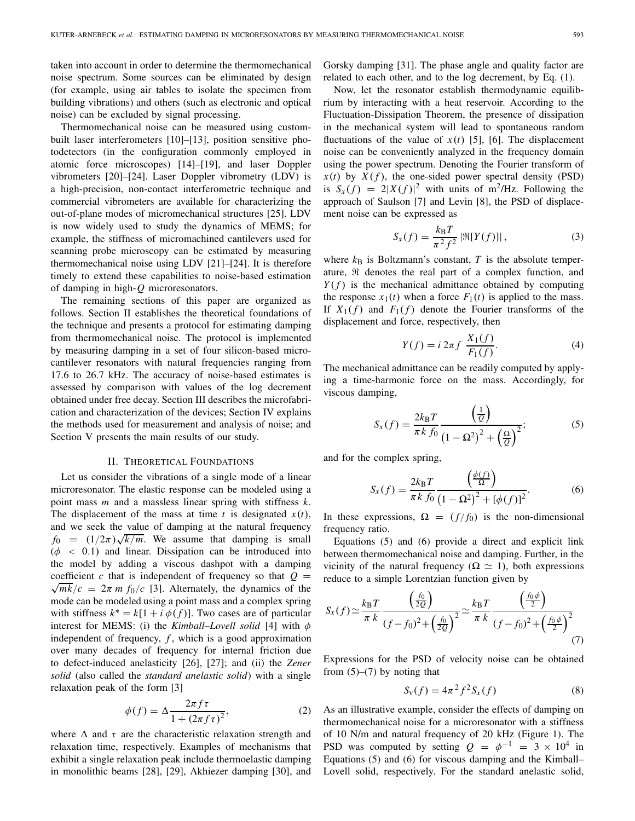taken into account in order to determine the thermomechanical noise spectrum. Some sources can be eliminated by design (for example, using air tables to isolate the specimen from building vibrations) and others (such as electronic and optical noise) can be excluded by signal processing.

Thermomechanical noise can be measured using custombuilt laser interferometers [10]–[13], position sensitive photodetectors (in the configuration commonly employed in atomic force microscopes) [14]–[19], and laser Doppler vibrometers [20]–[24]. Laser Doppler vibrometry (LDV) is a high-precision, non-contact interferometric technique and commercial vibrometers are available for characterizing the out-of-plane modes of micromechanical structures [25]. LDV is now widely used to study the dynamics of MEMS; for example, the stiffness of micromachined cantilevers used for scanning probe microscopy can be estimated by measuring thermomechanical noise using LDV [21]–[24]. It is therefore timely to extend these capabilities to noise-based estimation of damping in high-*Q* microresonators.

The remaining sections of this paper are organized as follows. Section II establishes the theoretical foundations of the technique and presents a protocol for estimating damping from thermomechanical noise. The protocol is implemented by measuring damping in a set of four silicon-based microcantilever resonators with natural frequencies ranging from 17.6 to 26.7 kHz. The accuracy of noise-based estimates is assessed by comparison with values of the log decrement obtained under free decay. Section III describes the microfabrication and characterization of the devices; Section IV explains the methods used for measurement and analysis of noise; and Section V presents the main results of our study.

#### II. THEORETICAL FOUNDATIONS

Let us consider the vibrations of a single mode of a linear microresonator. The elastic response can be modeled using a point mass *m* and a massless linear spring with stiffness *k*. The displacement of the mass at time  $t$  is designated  $x(t)$ , and we seek the value of damping at the natural frequency  $f_0 = (1/2\pi)\sqrt{k/m}$ . We assume that damping is small  $(\phi \, < 0.1)$  and linear. Dissipation can be introduced into the model by adding a viscous dashpot with a damping coefficient c that is independent of frequency so that  $Q =$  $\sqrt{mk/c}$  =  $2\pi m f_0/c$  [3]. Alternately, the dynamics of the mode can be modeled using a point mass and a complex spring with stiffness  $k^* = k[1 + i \phi(f)]$ . Two cases are of particular interest for MEMS: (i) the *Kimball–Lovell solid* [4] with  $\phi$ independent of frequency,  $f$ , which is a good approximation over many decades of frequency for internal friction due to defect-induced anelasticity [26], [27]; and (ii) the *Zener solid* (also called the *standard anelastic solid*) with a single relaxation peak of the form [3]

$$
\phi(f) = \Delta \frac{2\pi f \tau}{1 + (2\pi f \tau)^2},\tag{2}
$$

where  $\Delta$  and  $\tau$  are the characteristic relaxation strength and relaxation time, respectively. Examples of mechanisms that exhibit a single relaxation peak include thermoelastic damping in monolithic beams [28], [29], Akhiezer damping [30], and Gorsky damping [31]. The phase angle and quality factor are related to each other, and to the log decrement, by Eq. (1).

Now, let the resonator establish thermodynamic equilibrium by interacting with a heat reservoir. According to the Fluctuation-Dissipation Theorem, the presence of dissipation in the mechanical system will lead to spontaneous random fluctuations of the value of  $x(t)$  [5], [6]. The displacement noise can be conveniently analyzed in the frequency domain using the power spectrum. Denoting the Fourier transform of  $x(t)$  by  $X(f)$ , the one-sided power spectral density (PSD) is  $S_x(f) = 2|X(f)|^2$  with units of m<sup>2</sup>/Hz. Following the approach of Saulson [7] and Levin [8], the PSD of displacement noise can be expressed as

$$
S_x(f) = \frac{k_B T}{\pi^2 f^2} |\Re[Y(f)]| \,,\tag{3}
$$

where  $k_B$  is Boltzmann's constant,  $T$  is the absolute temperature,  $\Re$  denotes the real part of a complex function, and  $Y(f)$  is the mechanical admittance obtained by computing the response  $x_1(t)$  when a force  $F_1(t)$  is applied to the mass. If  $X_1(f)$  and  $F_1(f)$  denote the Fourier transforms of the displacement and force, respectively, then

$$
Y(f) = i 2\pi f \frac{X_1(f)}{F_1(f)}.
$$
 (4)

The mechanical admittance can be readily computed by applying a time-harmonic force on the mass. Accordingly, for viscous damping,

$$
S_x(f) = \frac{2k_B T}{\pi k f_0} \frac{\left(\frac{1}{Q}\right)}{\left(1 - \Omega^2\right)^2 + \left(\frac{\Omega}{Q}\right)^2};\tag{5}
$$

and for the complex spring,

$$
S_x(f) = \frac{2k_B T}{\pi k f_0} \frac{\left(\frac{\phi(f)}{\Omega}\right)}{\left(1 - \Omega^2\right)^2 + [\phi(f)]^2}.
$$
 (6)

In these expressions,  $\Omega = (f/f_0)$  is the non-dimensional frequency ratio.

Equations (5) and (6) provide a direct and explicit link between thermomechanical noise and damping. Further, in the vicinity of the natural frequency ( $\Omega \simeq 1$ ), both expressions reduce to a simple Lorentzian function given by

$$
S_x(f) \simeq \frac{k_B T}{\pi k} \frac{\left(\frac{f_0}{2Q}\right)}{(f - f_0)^2 + \left(\frac{f_0}{2Q}\right)^2} \simeq \frac{k_B T}{\pi k} \frac{\left(\frac{f_0 \phi}{2}\right)}{(f - f_0)^2 + \left(\frac{f_0 \phi}{2}\right)^2} \tag{7}
$$

Expressions for the PSD of velocity noise can be obtained from  $(5)$ – $(7)$  by noting that

$$
S_{\rm v}(f) = 4\pi^2 f^2 S_x(f) \tag{8}
$$

As an illustrative example, consider the effects of damping on thermomechanical noise for a microresonator with a stiffness of 10 N/m and natural frequency of 20 kHz (Figure 1). The PSD was computed by setting  $Q = \phi^{-1} = 3 \times 10^4$  in Equations (5) and (6) for viscous damping and the Kimball– Lovell solid, respectively. For the standard anelastic solid,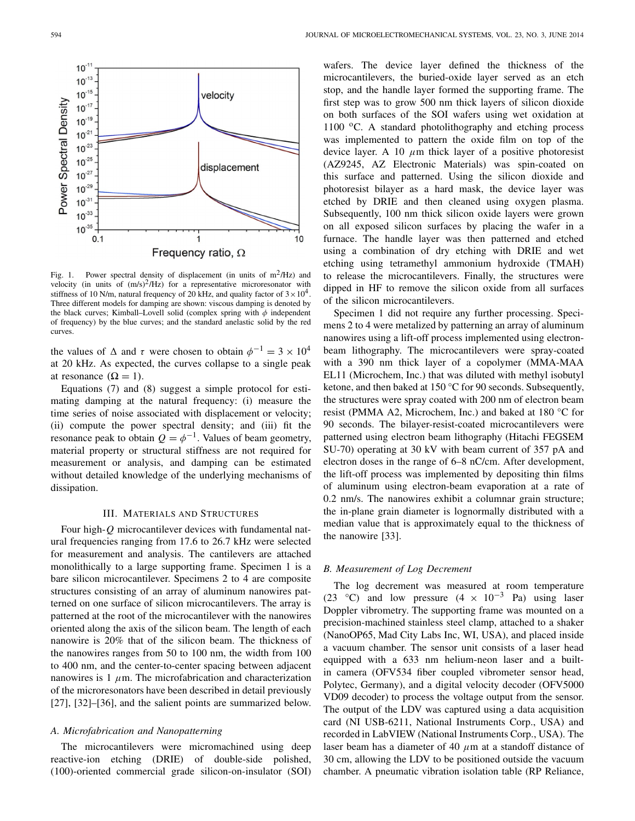

Fig. 1. Power spectral density of displacement (in units of  $m^2/Hz$ ) and velocity (in units of  $(m/s)^2/Hz$ ) for a representative microresonator with stiffness of 10 N/m, natural frequency of 20 kHz, and quality factor of  $3 \times 10^4$ . Three different models for damping are shown: viscous damping is denoted by the black curves; Kimball–Lovell solid (complex spring with  $\phi$  independent of frequency) by the blue curves; and the standard anelastic solid by the red curves.

the values of  $\Delta$  and  $\tau$  were chosen to obtain  $\phi^{-1} = 3 \times 10^4$ at 20 kHz. As expected, the curves collapse to a single peak at resonance  $(\Omega = 1)$ .

Equations (7) and (8) suggest a simple protocol for estimating damping at the natural frequency: (i) measure the time series of noise associated with displacement or velocity; (ii) compute the power spectral density; and (iii) fit the resonance peak to obtain  $Q = \phi^{-1}$ . Values of beam geometry, material property or structural stiffness are not required for measurement or analysis, and damping can be estimated without detailed knowledge of the underlying mechanisms of dissipation.

#### III. MATERIALS AND STRUCTURES

Four high-*Q* microcantilever devices with fundamental natural frequencies ranging from 17.6 to 26.7 kHz were selected for measurement and analysis. The cantilevers are attached monolithically to a large supporting frame. Specimen 1 is a bare silicon microcantilever. Specimens 2 to 4 are composite structures consisting of an array of aluminum nanowires patterned on one surface of silicon microcantilevers. The array is patterned at the root of the microcantilever with the nanowires oriented along the axis of the silicon beam. The length of each nanowire is 20% that of the silicon beam. The thickness of the nanowires ranges from 50 to 100 nm, the width from 100 to 400 nm, and the center-to-center spacing between adjacent nanowires is 1  $\mu$ m. The microfabrication and characterization of the microresonators have been described in detail previously [27], [32]–[36], and the salient points are summarized below.

# *A. Microfabrication and Nanopatterning*

The microcantilevers were micromachined using deep reactive-ion etching (DRIE) of double-side polished, (100)-oriented commercial grade silicon-on-insulator (SOI)

wafers. The device layer defined the thickness of the microcantilevers, the buried-oxide layer served as an etch stop, and the handle layer formed the supporting frame. The first step was to grow 500 nm thick layers of silicon dioxide on both surfaces of the SOI wafers using wet oxidation at 1100 $\degree$ C. A standard photolithography and etching process was implemented to pattern the oxide film on top of the device layer. A 10  $\mu$ m thick layer of a positive photoresist (AZ9245, AZ Electronic Materials) was spin-coated on this surface and patterned. Using the silicon dioxide and photoresist bilayer as a hard mask, the device layer was etched by DRIE and then cleaned using oxygen plasma. Subsequently, 100 nm thick silicon oxide layers were grown on all exposed silicon surfaces by placing the wafer in a furnace. The handle layer was then patterned and etched using a combination of dry etching with DRIE and wet etching using tetramethyl ammonium hydroxide (TMAH) to release the microcantilevers. Finally, the structures were dipped in HF to remove the silicon oxide from all surfaces of the silicon microcantilevers.

Specimen 1 did not require any further processing. Specimens 2 to 4 were metalized by patterning an array of aluminum nanowires using a lift-off process implemented using electronbeam lithography. The microcantilevers were spray-coated with a 390 nm thick layer of a copolymer (MMA-MAA EL11 (Microchem, Inc.) that was diluted with methyl isobutyl ketone, and then baked at 150 °C for 90 seconds. Subsequently, the structures were spray coated with 200 nm of electron beam resist (PMMA A2, Microchem, Inc.) and baked at 180 °C for 90 seconds. The bilayer-resist-coated microcantilevers were patterned using electron beam lithography (Hitachi FEGSEM SU-70) operating at 30 kV with beam current of 357 pA and electron doses in the range of 6–8 nC/cm. After development, the lift-off process was implemented by depositing thin films of aluminum using electron-beam evaporation at a rate of 0.2 nm/s. The nanowires exhibit a columnar grain structure; the in-plane grain diameter is lognormally distributed with a median value that is approximately equal to the thickness of the nanowire [33].

### *B. Measurement of Log Decrement*

The log decrement was measured at room temperature (23 °C) and low pressure  $(4 \times 10^{-3}$  Pa) using laser Doppler vibrometry. The supporting frame was mounted on a precision-machined stainless steel clamp, attached to a shaker (NanoOP65, Mad City Labs Inc, WI, USA), and placed inside a vacuum chamber. The sensor unit consists of a laser head equipped with a 633 nm helium-neon laser and a builtin camera (OFV534 fiber coupled vibrometer sensor head, Polytec, Germany), and a digital velocity decoder (OFV5000 VD09 decoder) to process the voltage output from the sensor. The output of the LDV was captured using a data acquisition card (NI USB-6211, National Instruments Corp., USA) and recorded in LabVIEW (National Instruments Corp., USA). The laser beam has a diameter of 40  $\mu$ m at a standoff distance of 30 cm, allowing the LDV to be positioned outside the vacuum chamber. A pneumatic vibration isolation table (RP Reliance,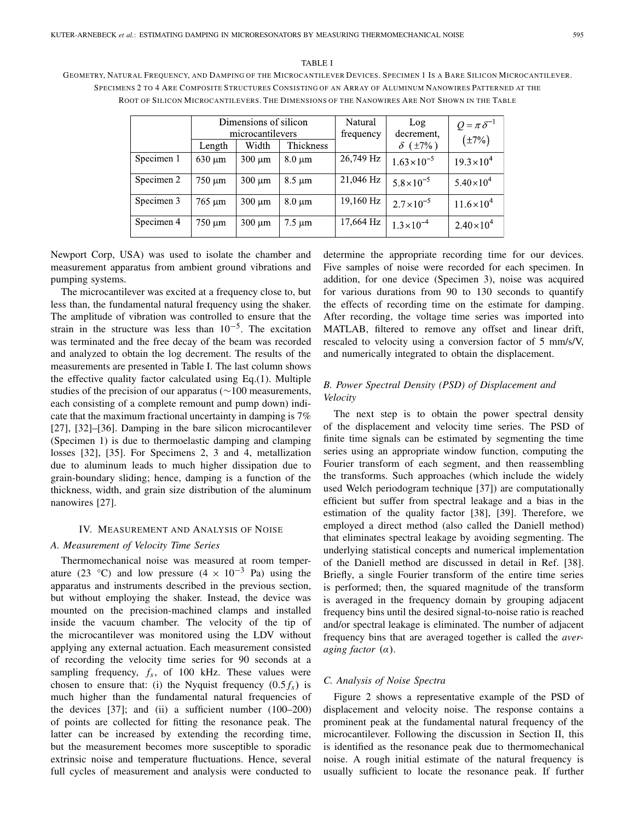# GEOMETRY, NATURAL FREQUENCY, AND DAMPING OF THE MICROCANTILEVER DEVICES. SPECIMEN 1 IS A BARE SILICON MICROCANTILEVER. SPECIMENS 2 TO 4 ARE COMPOSITE STRUCTURES CONSISTING OF AN ARRAY OF ALUMINUM NANOWIRES PATTERNED AT THE ROOT OF SILICON MICROCANTILEVERS. THE DIMENSIONS OF THE NANOWIRES ARE NOT SHOWN IN THE TABLE

TABLE I

|            | Dimensions of silicon<br>microcantilevers |             |             | Natural   | Log<br>decrement,      | $Q = \pi \delta^{-1}$ |
|------------|-------------------------------------------|-------------|-------------|-----------|------------------------|-----------------------|
|            | Length                                    | Width       | Thickness   | frequency | $\delta$ ( $\pm 7\%$ ) | $(\pm 7\%)$           |
| Specimen 1 | $630 \mu m$                               | $300 \mu m$ | $8.0 \mu m$ | 26,749 Hz | $1.63\times10^{-5}$    | $19.3 \times 10^{4}$  |
| Specimen 2 | $750 \mu m$                               | $300 \mu m$ | $8.5 \mu m$ | 21,046 Hz | $5.8 \times 10^{-5}$   | $5.40\times10^{4}$    |
| Specimen 3 | $765 \mu m$                               | $300 \mu m$ | $8.0 \mu m$ | 19,160 Hz | $2.7 \times 10^{-5}$   | $11.6 \times 10^4$    |
| Specimen 4 | $750 \mu m$                               | $300 \mu m$ | $7.5 \mu m$ | 17,664 Hz | $1.3 \times 10^{-4}$   | $2.40\times10^{4}$    |

Newport Corp, USA) was used to isolate the chamber and measurement apparatus from ambient ground vibrations and pumping systems.

The microcantilever was excited at a frequency close to, but less than, the fundamental natural frequency using the shaker. The amplitude of vibration was controlled to ensure that the strain in the structure was less than  $10^{-5}$ . The excitation was terminated and the free decay of the beam was recorded and analyzed to obtain the log decrement. The results of the measurements are presented in Table I. The last column shows the effective quality factor calculated using Eq.(1). Multiple studies of the precision of our apparatus (∼100 measurements, each consisting of a complete remount and pump down) indicate that the maximum fractional uncertainty in damping is 7% [27], [32]–[36]. Damping in the bare silicon microcantilever (Specimen 1) is due to thermoelastic damping and clamping losses [32], [35]. For Specimens 2, 3 and 4, metallization due to aluminum leads to much higher dissipation due to grain-boundary sliding; hence, damping is a function of the thickness, width, and grain size distribution of the aluminum nanowires [27].

# IV. MEASUREMENT AND ANALYSIS OF NOISE

# *A. Measurement of Velocity Time Series*

Thermomechanical noise was measured at room temperature (23 °C) and low pressure  $(4 \times 10^{-3}$  Pa) using the apparatus and instruments described in the previous section, but without employing the shaker. Instead, the device was mounted on the precision-machined clamps and installed inside the vacuum chamber. The velocity of the tip of the microcantilever was monitored using the LDV without applying any external actuation. Each measurement consisted of recording the velocity time series for 90 seconds at a sampling frequency,  $f_s$ , of 100 kHz. These values were chosen to ensure that: (i) the Nyquist frequency  $(0.5 f_s)$  is much higher than the fundamental natural frequencies of the devices [37]; and (ii) a sufficient number (100–200) of points are collected for fitting the resonance peak. The latter can be increased by extending the recording time, but the measurement becomes more susceptible to sporadic extrinsic noise and temperature fluctuations. Hence, several full cycles of measurement and analysis were conducted to

determine the appropriate recording time for our devices. Five samples of noise were recorded for each specimen. In addition, for one device (Specimen 3), noise was acquired for various durations from 90 to 130 seconds to quantify the effects of recording time on the estimate for damping. After recording, the voltage time series was imported into MATLAB, filtered to remove any offset and linear drift, rescaled to velocity using a conversion factor of 5 mm/s/V, and numerically integrated to obtain the displacement.

# *B. Power Spectral Density (PSD) of Displacement and Velocity*

The next step is to obtain the power spectral density of the displacement and velocity time series. The PSD of finite time signals can be estimated by segmenting the time series using an appropriate window function, computing the Fourier transform of each segment, and then reassembling the transforms. Such approaches (which include the widely used Welch periodogram technique [37]) are computationally efficient but suffer from spectral leakage and a bias in the estimation of the quality factor [38], [39]. Therefore, we employed a direct method (also called the Daniell method) that eliminates spectral leakage by avoiding segmenting. The underlying statistical concepts and numerical implementation of the Daniell method are discussed in detail in Ref. [38]. Briefly, a single Fourier transform of the entire time series is performed; then, the squared magnitude of the transform is averaged in the frequency domain by grouping adjacent frequency bins until the desired signal-to-noise ratio is reached and/or spectral leakage is eliminated. The number of adjacent frequency bins that are averaged together is called the *averaging factor* (α).

# *C. Analysis of Noise Spectra*

Figure 2 shows a representative example of the PSD of displacement and velocity noise. The response contains a prominent peak at the fundamental natural frequency of the microcantilever. Following the discussion in Section II, this is identified as the resonance peak due to thermomechanical noise. A rough initial estimate of the natural frequency is usually sufficient to locate the resonance peak. If further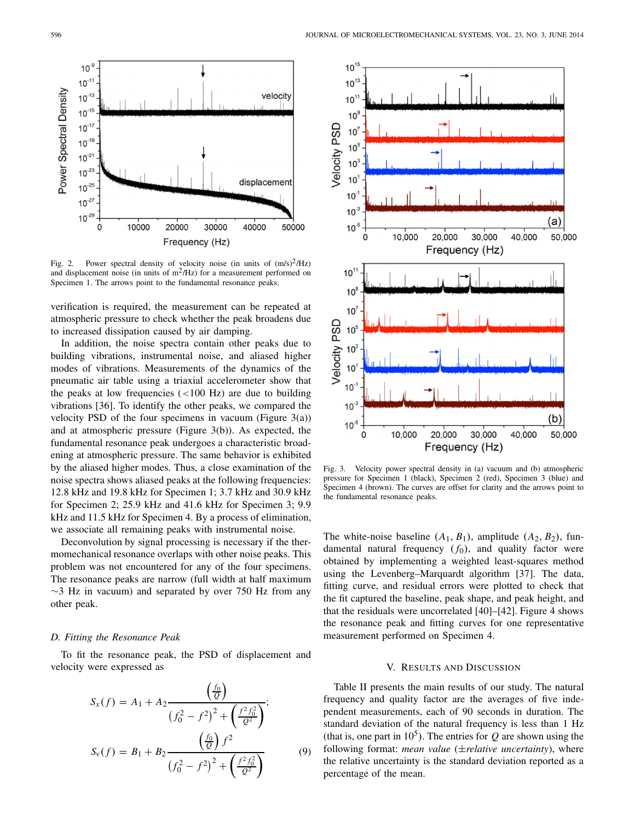

Fig. 2. Power spectral density of velocity noise (in units of  $(m/s)^2/Hz$ ) and displacement noise (in units of  $m^2/Hz$ ) for a measurement performed on Specimen 1. The arrows point to the fundamental resonance peaks.

verification is required, the measurement can be repeated at atmospheric pressure to check whether the peak broadens due to increased dissipation caused by air damping.

In addition, the noise spectra contain other peaks due to building vibrations, instrumental noise, and aliased higher modes of vibrations. Measurements of the dynamics of the pneumatic air table using a triaxial accelerometer show that the peaks at low frequencies  $(<100$  Hz) are due to building vibrations [36]. To identify the other peaks, we compared the velocity PSD of the four specimens in vacuum (Figure  $3(a)$ ) and at atmospheric pressure (Figure 3(b)). As expected, the fundamental resonance peak undergoes a characteristic broadening at atmospheric pressure. The same behavior is exhibited by the aliased higher modes. Thus, a close examination of the noise spectra shows aliased peaks at the following frequencies: 12.8 kHz and 19.8 kHz for Specimen 1; 3.7 kHz and 30.9 kHz for Specimen 2; 25.9 kHz and 41.6 kHz for Specimen 3; 9.9 kHz and 11.5 kHz for Specimen 4. By a process of elimination, we associate all remaining peaks with instrumental noise.

Deconvolution by signal processing is necessary if the thermomechanical resonance overlaps with other noise peaks. This problem was not encountered for any of the four specimens. The resonance peaks are narrow (full width at half maximum  $\sim$ 3 Hz in vacuum) and separated by over 750 Hz from any other peak.

### *D. Fitting the Resonance Peak*

To fit the resonance peak, the PSD of displacement and velocity were expressed as

$$
S_x(f) = A_1 + A_2 \frac{\left(\frac{f_0}{Q}\right)}{\left(f_0^2 - f^2\right)^2 + \left(\frac{f^2 f_0^2}{Q^2}\right)};
$$
  

$$
S_y(f) = B_1 + B_2 \frac{\left(\frac{f_0}{Q}\right) f^2}{\left(f_0^2 - f^2\right)^2 + \left(\frac{f^2 f_0^2}{Q^2}\right)} \tag{9}
$$



Fig. 3. Velocity power spectral density in (a) vacuum and (b) atmospheric pressure for Specimen 1 (black), Specimen 2 (red), Specimen 3 (blue) and Specimen 4 (brown). The curves are offset for clarity and the arrows point to the fundamental resonance peaks.

The white-noise baseline  $(A_1, B_1)$ , amplitude  $(A_2, B_2)$ , fundamental natural frequency  $(f_0)$ , and quality factor were obtained by implementing a weighted least-squares method using the Levenberg–Marquardt algorithm [37]. The data, fitting curve, and residual errors were plotted to check that the fit captured the baseline, peak shape, and peak height, and that the residuals were uncorrelated [40]–[42]. Figure 4 shows the resonance peak and fitting curves for one representative measurement performed on Specimen 4.

## V. RESULTS AND DISCUSSION

Table II presents the main results of our study. The natural frequency and quality factor are the averages of five independent measurements, each of 90 seconds in duration. The standard deviation of the natural frequency is less than 1 Hz (that is, one part in  $10<sup>5</sup>$ ). The entries for *Q* are shown using the following format: *mean value* (±*relative uncertainty*), where the relative uncertainty is the standard deviation reported as a percentage of the mean.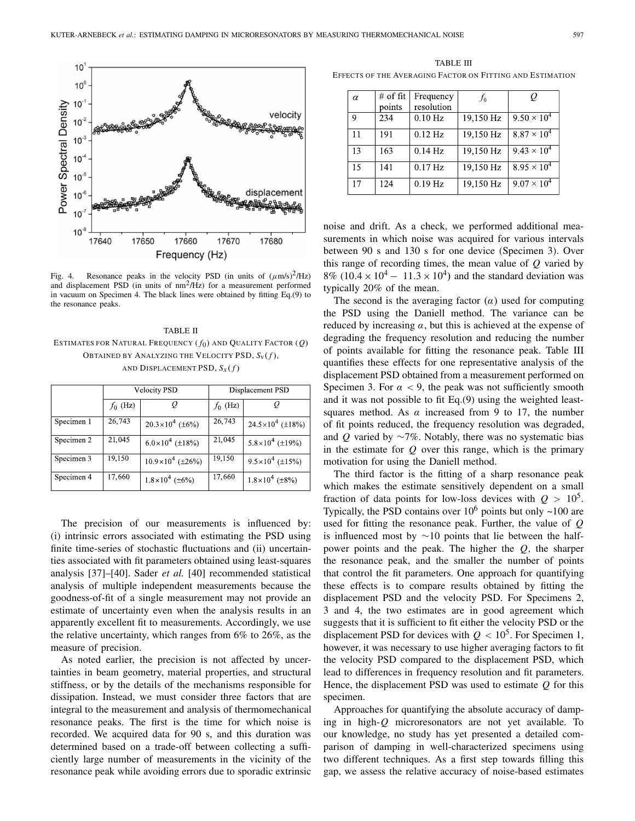

Fig. 4. Resonance peaks in the velocity PSD (in units of  $(\mu m/s)^2/Hz$ ) and displacement PSD (in units of  $nm<sup>2</sup>/Hz$ ) for a measurement performed in vacuum on Specimen 4. The black lines were obtained by fitting Eq.(9) to the resonance peaks.

TABLE II ESTIMATES FOR NATURAL FREQUENCY ( *f*0) AND QUALITY FACTOR (*Q*) OBTAINED BY ANALYZING THE VELOCITY PSD,  $S_V(f)$ , AND DISPLACEMENT PSD,  $S_x(f)$ 

|            |            | <b>Velocity PSD</b>       | Displacement PSD |                           |  |
|------------|------------|---------------------------|------------------|---------------------------|--|
|            | $f_0$ (Hz) |                           | $f_0$ (Hz)       |                           |  |
| Specimen 1 | 26,743     | $20.3 \times 10^4$ (±6%)  | 26,743           | $24.5 \times 10^4$ (±18%) |  |
| Specimen 2 | 21,045     | $6.0\times10^{4}$ (±18%)  | 21,045           | $5.8\times10^{4}$ (±19%)  |  |
| Specimen 3 | 19,150     | $10.9\times10^{4}$ (±26%) | 19,150           | $9.5 \times 10^4$ (±15%)  |  |
| Specimen 4 | 17,660     | $1.8\times10^4$ (±6%)     | 17,660           | $1.8\times10^{4}$ (±8%)   |  |

The precision of our measurements is influenced by: (i) intrinsic errors associated with estimating the PSD using finite time-series of stochastic fluctuations and (ii) uncertainties associated with fit parameters obtained using least-squares analysis [37]–[40]. Sader *et al.* [40] recommended statistical analysis of multiple independent measurements because the goodness-of-fit of a single measurement may not provide an estimate of uncertainty even when the analysis results in an apparently excellent fit to measurements. Accordingly, we use the relative uncertainty, which ranges from 6% to 26%, as the measure of precision.

As noted earlier, the precision is not affected by uncertainties in beam geometry, material properties, and structural stiffness, or by the details of the mechanisms responsible for dissipation. Instead, we must consider three factors that are integral to the measurement and analysis of thermomechanical resonance peaks. The first is the time for which noise is recorded. We acquired data for 90 s, and this duration was determined based on a trade-off between collecting a sufficiently large number of measurements in the vicinity of the resonance peak while avoiding errors due to sporadic extrinsic

TABLE III EFFECTS OF THE AVERAGING FACTOR ON FITTING AND ESTIMATION

| $\alpha$ | $#$ of fit | Frequency  | $f_0$     | Q                    |
|----------|------------|------------|-----------|----------------------|
|          | points     | resolution |           |                      |
| 9        | 234        | $0.10$ Hz  | 19,150 Hz | $9.50 \times 10^{4}$ |
| 11       | 191        | $0.12$ Hz  | 19,150 Hz | $8.87 \times 10^{4}$ |
| 13       | 163        | $0.14$ Hz  | 19,150 Hz | $9.43 \times 10^{4}$ |
| 15       | 141        | $0.17$ Hz  | 19,150 Hz | $8.95 \times 10^{4}$ |
| 17       | 124        | $0.19$ Hz  | 19,150 Hz | $9.07 \times 10^{4}$ |

noise and drift. As a check, we performed additional measurements in which noise was acquired for various intervals between 90 s and 130 s for one device (Specimen 3). Over this range of recording times, the mean value of *Q* varied by 8% (10.4  $\times$  10<sup>4</sup> − 11.3  $\times$  10<sup>4</sup>) and the standard deviation was typically 20% of the mean.

The second is the averaging factor  $(\alpha)$  used for computing the PSD using the Daniell method. The variance can be reduced by increasing  $\alpha$ , but this is achieved at the expense of degrading the frequency resolution and reducing the number of points available for fitting the resonance peak. Table III quantifies these effects for one representative analysis of the displacement PSD obtained from a measurement performed on Specimen 3. For  $\alpha$  < 9, the peak was not sufficiently smooth and it was not possible to fit Eq.(9) using the weighted leastsquares method. As  $\alpha$  increased from 9 to 17, the number of fit points reduced, the frequency resolution was degraded, and *Q* varied by ∼7%. Notably, there was no systematic bias in the estimate for *Q* over this range, which is the primary motivation for using the Daniell method.

The third factor is the fitting of a sharp resonance peak which makes the estimate sensitively dependent on a small fraction of data points for low-loss devices with  $Q > 10^5$ . Typically, the PSD contains over  $10^6$  points but only  $\sim$ 100 are used for fitting the resonance peak. Further, the value of *Q* is influenced most by ∼10 points that lie between the halfpower points and the peak. The higher the *Q*, the sharper the resonance peak, and the smaller the number of points that control the fit parameters. One approach for quantifying these effects is to compare results obtained by fitting the displacement PSD and the velocity PSD. For Specimens 2, 3 and 4, the two estimates are in good agreement which suggests that it is sufficient to fit either the velocity PSD or the displacement PSD for devices with  $Q < 10<sup>5</sup>$ . For Specimen 1, however, it was necessary to use higher averaging factors to fit the velocity PSD compared to the displacement PSD, which lead to differences in frequency resolution and fit parameters. Hence, the displacement PSD was used to estimate *Q* for this specimen.

Approaches for quantifying the absolute accuracy of damping in high-*Q* microresonators are not yet available. To our knowledge, no study has yet presented a detailed comparison of damping in well-characterized specimens using two different techniques. As a first step towards filling this gap, we assess the relative accuracy of noise-based estimates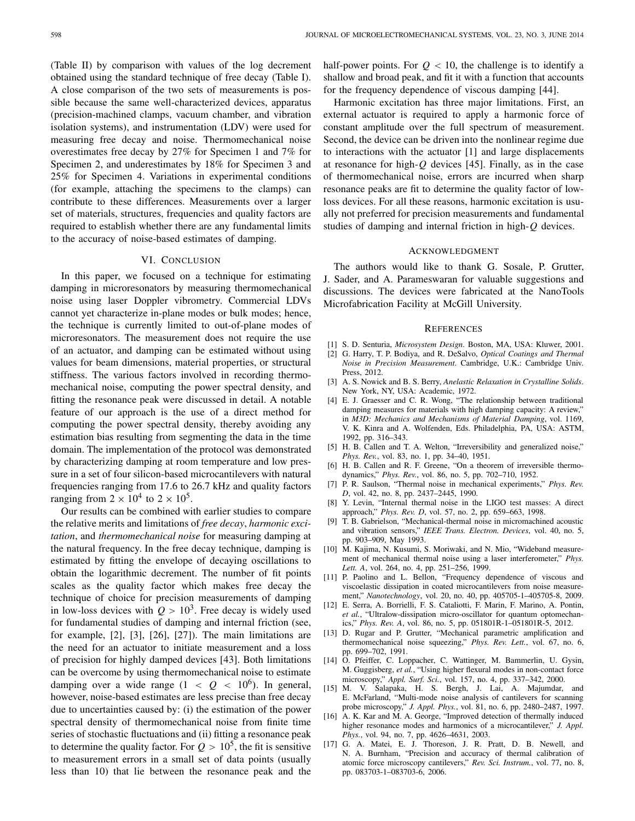(Table II) by comparison with values of the log decrement obtained using the standard technique of free decay (Table I). A close comparison of the two sets of measurements is possible because the same well-characterized devices, apparatus (precision-machined clamps, vacuum chamber, and vibration isolation systems), and instrumentation (LDV) were used for measuring free decay and noise. Thermomechanical noise overestimates free decay by 27% for Specimen 1 and 7% for Specimen 2, and underestimates by 18% for Specimen 3 and 25% for Specimen 4. Variations in experimental conditions (for example, attaching the specimens to the clamps) can contribute to these differences. Measurements over a larger set of materials, structures, frequencies and quality factors are required to establish whether there are any fundamental limits to the accuracy of noise-based estimates of damping.

# VI. CONCLUSION

In this paper, we focused on a technique for estimating damping in microresonators by measuring thermomechanical noise using laser Doppler vibrometry. Commercial LDVs cannot yet characterize in-plane modes or bulk modes; hence, the technique is currently limited to out-of-plane modes of microresonators. The measurement does not require the use of an actuator, and damping can be estimated without using values for beam dimensions, material properties, or structural stiffness. The various factors involved in recording thermomechanical noise, computing the power spectral density, and fitting the resonance peak were discussed in detail. A notable feature of our approach is the use of a direct method for computing the power spectral density, thereby avoiding any estimation bias resulting from segmenting the data in the time domain. The implementation of the protocol was demonstrated by characterizing damping at room temperature and low pressure in a set of four silicon-based microcantilevers with natural frequencies ranging from 17.6 to 26.7 kHz and quality factors ranging from  $2 \times 10^4$  to  $2 \times 10^5$ .

Our results can be combined with earlier studies to compare the relative merits and limitations of *free decay*, *harmonic excitation*, and *thermomechanical noise* for measuring damping at the natural frequency. In the free decay technique, damping is estimated by fitting the envelope of decaying oscillations to obtain the logarithmic decrement. The number of fit points scales as the quality factor which makes free decay the technique of choice for precision measurements of damping in low-loss devices with  $Q > 10<sup>3</sup>$ . Free decay is widely used for fundamental studies of damping and internal friction (see, for example, [2], [3], [26], [27]). The main limitations are the need for an actuator to initiate measurement and a loss of precision for highly damped devices [43]. Both limitations can be overcome by using thermomechanical noise to estimate damping over a wide range  $(1 < Q < 10^6)$ . In general, however, noise-based estimates are less precise than free decay due to uncertainties caused by: (i) the estimation of the power spectral density of thermomechanical noise from finite time series of stochastic fluctuations and (ii) fitting a resonance peak to determine the quality factor. For  $Q > 10^5$ , the fit is sensitive to measurement errors in a small set of data points (usually less than 10) that lie between the resonance peak and the

half-power points. For  $Q < 10$ , the challenge is to identify a shallow and broad peak, and fit it with a function that accounts for the frequency dependence of viscous damping [44].

Harmonic excitation has three major limitations. First, an external actuator is required to apply a harmonic force of constant amplitude over the full spectrum of measurement. Second, the device can be driven into the nonlinear regime due to interactions with the actuator [1] and large displacements at resonance for high-*Q* devices [45]. Finally, as in the case of thermomechanical noise, errors are incurred when sharp resonance peaks are fit to determine the quality factor of lowloss devices. For all these reasons, harmonic excitation is usually not preferred for precision measurements and fundamental studies of damping and internal friction in high-*Q* devices.

#### ACKNOWLEDGMENT

The authors would like to thank G. Sosale, P. Grutter, J. Sader, and A. Parameswaran for valuable suggestions and discussions. The devices were fabricated at the NanoTools Microfabrication Facility at McGill University.

#### **REFERENCES**

- [1] S. D. Senturia, *Microsystem Design*. Boston, MA, USA: Kluwer, 2001.
- [2] G. Harry, T. P. Bodiya, and R. DeSalvo, *Optical Coatings and Thermal Noise in Precision Measurement*. Cambridge, U.K.: Cambridge Univ. Press, 2012.
- [3] A. S. Nowick and B. S. Berry, *Anelastic Relaxation in Crystalline Solids*. New York, NY, USA: Academic, 1972.
- [4] E. J. Graesser and C. R. Wong, "The relationship between traditional damping measures for materials with high damping capacity: A review," in *M3D: Mechanics and Mechanisms of Material Damping*, vol. 1169, V. K. Kinra and A. Wolfenden, Eds. Philadelphia, PA, USA: ASTM, 1992, pp. 316–343.
- [5] H. B. Callen and T. A. Welton, "Irreversibility and generalized noise," *Phys. Rev.*, vol. 83, no. 1, pp. 34–40, 1951.
- [6] H. B. Callen and R. F. Greene, "On a theorem of irreversible thermodynamics," *Phys. Rev.*, vol. 86, no. 5, pp. 702–710, 1952.
- [7] P. R. Saulson, "Thermal noise in mechanical experiments," *Phys. Rev. D*, vol. 42, no. 8, pp. 2437–2445, 1990.
- [8] Y. Levin, "Internal thermal noise in the LIGO test masses: A direct approach," *Phys. Rev. D*, vol. 57, no. 2, pp. 659–663, 1998.
- [9] T. B. Gabrielson, "Mechanical-thermal noise in micromachined acoustic and vibration sensors," *IEEE Trans. Electron. Devices*, vol. 40, no. 5, pp. 903–909, May 1993.
- [10] M. Kajima, N. Kusumi, S. Moriwaki, and N. Mio, "Wideband measurement of mechanical thermal noise using a laser interferometer," *Phys. Lett. A*, vol. 264, no. 4, pp. 251–256, 1999.
- [11] P. Paolino and L. Bellon, "Frequency dependence of viscous and viscoelastic dissipation in coated microcantilevers from noise measurement," *Nanotechnology*, vol. 20, no. 40, pp. 405705-1–405705-8, 2009.
- [12] E. Serra, A. Borrielli, F. S. Cataliotti, F. Marin, F. Marino, A. Pontin, *et al.*, "Ultralow-dissipation micro-oscillator for quantum optomechanics," *Phys. Rev. A*, vol. 86, no. 5, pp. 051801R-1–051801R-5, 2012.
- [13] D. Rugar and P. Grutter, "Mechanical parametric amplification and thermomechanical noise squeezing," *Phys. Rev. Lett.*, vol. 67, no. 6, pp. 699–702, 1991.
- [14] O. Pfeiffer, C. Loppacher, C. Wattinger, M. Bammerlin, U. Gysin, M. Guggisberg, *et al.*, "Using higher flexural modes in non-contact force microscopy," *Appl. Surf. Sci.*, vol. 157, no. 4, pp. 337–342, 2000.
- [15] M. V. Salapaka, H. S. Bergh, J. Lai, A. Majumdar, and E. McFarland, "Multi-mode noise analysis of cantilevers for scanning probe microscopy," *J. Appl. Phys.*, vol. 81, no. 6, pp. 2480–2487, 1997.
- [16] A. K. Kar and M. A. George, "Improved detection of thermally induced higher resonance modes and harmonics of a microcantilever," *J. Appl. Phys.*, vol. 94, no. 7, pp. 4626–4631, 2003.
- [17] G. A. Matei, E. J. Thoreson, J. R. Pratt, D. B. Newell, and N. A. Burnham, "Precision and accuracy of thermal calibration of atomic force microscopy cantilevers," *Rev. Sci. Instrum.*, vol. 77, no. 8, pp. 083703-1–083703-6, 2006.